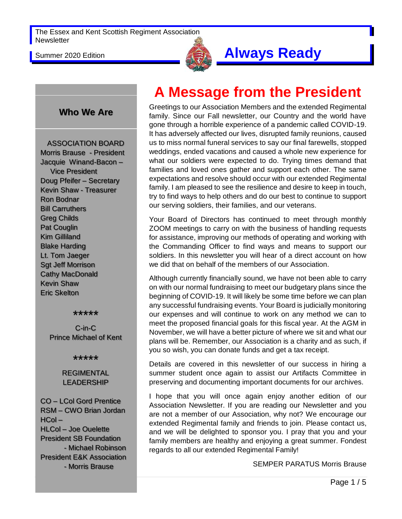

# Summer 2020 Edition **Always Ready**

#### **Who We Are**

ASSOCIATION BOARD Morris Brause - President Jacquie Winand-Bacon – Vice President Doug Pfeifer – Secretary Kevin Shaw - Treasurer Ron Bodnar Bill Carruthers Greg Childs Pat Couglin Kim Gilliland Blake Harding Lt. Tom Jaeger Sgt Jeff Morrison Cathy MacDonald Kevin Shaw Eric Skelton

#### \*\*\*\*\*

C-in-C Prince Michael of Kent

\*\*\*\*\*

#### REGIMENTAL LEADERSHIP

CO – LCol Gord Prentice RSM – CWO Brian Jordan HCol – HLCol – Joe Ouelette President SB Foundation - Michael Robinson President E&K Association - Morris Brause

# **A Message from the President**

Greetings to our Association Members and the extended Regimental family. Since our Fall newsletter, our Country and the world have gone through a horrible experience of a pandemic called COVID-19. It has adversely affected our lives, disrupted family reunions, caused us to miss normal funeral services to say our final farewells, stopped weddings, ended vacations and caused a whole new experience for what our soldiers were expected to do. Trying times demand that families and loved ones gather and support each other. The same expectations and resolve should occur with our extended Regimental family. I am pleased to see the resilience and desire to keep in touch, try to find ways to help others and do our best to continue to support our serving soldiers, their families, and our veterans.

Your Board of Directors has continued to meet through monthly ZOOM meetings to carry on with the business of handling requests for assistance, improving our methods of operating and working with the Commanding Officer to find ways and means to support our soldiers. In this newsletter you will hear of a direct account on how we did that on behalf of the members of our Association.

Although currently financially sound, we have not been able to carry on with our normal fundraising to meet our budgetary plans since the beginning of COVID-19. It will likely be some time before we can plan any successful fundraising events. Your Board is judicially monitoring our expenses and will continue to work on any method we can to meet the proposed financial goals for this fiscal year. At the AGM in November, we will have a better picture of where we sit and what our plans will be. Remember, our Association is a charity and as such, if you so wish, you can donate funds and get a tax receipt.

Details are covered in this newsletter of our success in hiring a summer student once again to assist our Artifacts Committee in preserving and documenting important documents for our archives.

I hope that you will once again enjoy another edition of our Association Newsletter. If you are reading our Newsletter and you are not a member of our Association, why not? We encourage our extended Regimental family and friends to join. Please contact us, and we will be delighted to sponsor you. I pray that you and your family members are healthy and enjoying a great summer. Fondest regards to all our extended Regimental Family!

SEMPER PARATUS Morris Brause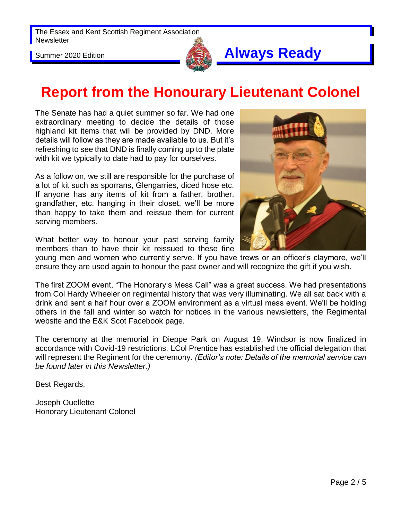

# **Report from the Honourary Lieutenant Colonel**

The Senate has had a quiet summer so far. We had one extraordinary meeting to decide the details of those highland kit items that will be provided by DND. More details will follow as they are made available to us. But it's refreshing to see that DND is finally coming up to the plate with kit we typically to date had to pay for ourselves.

As a follow on, we still are responsible for the purchase of a lot of kit such as sporrans, Glengarries, diced hose etc. If anyone has any items of kit from a father, brother, grandfather, etc. hanging in their closet, we'll be more than happy to take them and reissue them for current serving members.

What better way to honour your past serving family members than to have their kit reissued to these fine



young men and women who currently serve. If you have trews or an officer's claymore, we'll ensure they are used again to honour the past owner and will recognize the gift if you wish.

The first ZOOM event, "The Honorary's Mess Call" was a great success. We had presentations from Col Hardy Wheeler on regimental history that was very illuminating. We all sat back with a drink and sent a half hour over a ZOOM environment as a virtual mess event. We'll be holding others in the fall and winter so watch for notices in the various newsletters, the Regimental website and the E&K Scot Facebook page.

The ceremony at the memorial in Dieppe Park on August 19, Windsor is now finalized in accordance with Covid-19 restrictions. LCol Prentice has established the official delegation that will represent the Regiment for the ceremony. *(Editor's note: Details of the memorial service can be found later in this Newsletter.)*

Best Regards,

Joseph Ouellette Honorary Lieutenant Colonel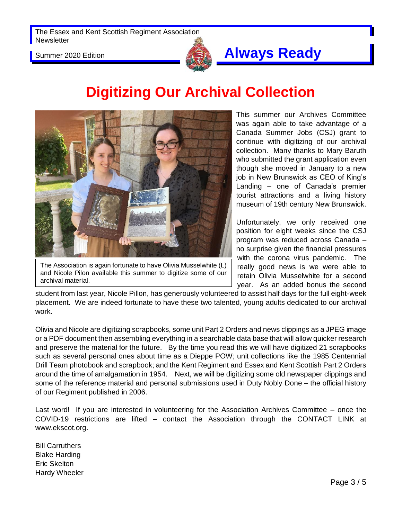

## Summer 2020 Edition **Always Ready**

# **Digitizing Our Archival Collection**



The Association is again fortunate to have Olivia Musselwhite (L) and Nicole Pilon available this summer to digitize some of our archival material.

This summer our Archives Committee was again able to take advantage of a Canada Summer Jobs (CSJ) grant to continue with digitizing of our archival collection. Many thanks to Mary Baruth who submitted the grant application even though she moved in January to a new job in New Brunswick as CEO of King's Landing – one of Canada's premier tourist attractions and a living history museum of 19th century New Brunswick.

Unfortunately, we only received one position for eight weeks since the CSJ program was reduced across Canada – no surprise given the financial pressures with the corona virus pandemic. The really good news is we were able to retain Olivia Musselwhite for a second year. As an added bonus the second

student from last year, Nicole Pillon, has generously volunteered to assist half days for the full eight-week placement. We are indeed fortunate to have these two talented, young adults dedicated to our archival work.

Olivia and Nicole are digitizing scrapbooks, some unit Part 2 Orders and news clippings as a JPEG image or a PDF document then assembling everything in a searchable data base that will allow quicker research and preserve the material for the future. By the time you read this we will have digitized 21 scrapbooks such as several personal ones about time as a Dieppe POW; unit collections like the 1985 Centennial Drill Team photobook and scrapbook; and the Kent Regiment and Essex and Kent Scottish Part 2 Orders around the time of amalgamation in 1954. Next, we will be digitizing some old newspaper clippings and some of the reference material and personal submissions used in Duty Nobly Done – the official history of our Regiment published in 2006.

Last word! If you are interested in volunteering for the Association Archives Committee – once the COVID-19 restrictions are lifted – contact the Association through the CONTACT LINK at www.ekscot.org.

Bill Carruthers Blake Harding Eric Skelton Hardy Wheeler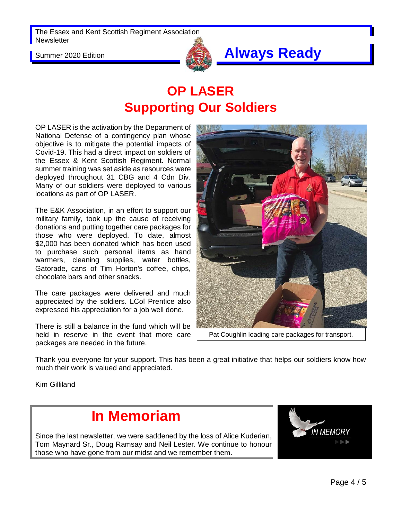

# Summer 2020 Edition **Always Ready**

# **OP LASER Supporting Our Soldiers**

OP LASER is the activation by the Department of National Defense of a contingency plan whose objective is to mitigate the potential impacts of Covid-19. This had a direct impact on soldiers of the Essex & Kent Scottish Regiment. Normal summer training was set aside as resources were deployed throughout 31 CBG and 4 Cdn Div. Many of our soldiers were deployed to various locations as part of OP LASER.

The E&K Association, in an effort to support our military family, took up the cause of receiving donations and putting together care packages for those who were deployed. To date, almost \$2,000 has been donated which has been used to purchase such personal items as hand warmers, cleaning supplies, water bottles, Gatorade, cans of Tim Horton's coffee, chips, chocolate bars and other snacks.

The care packages were delivered and much appreciated by the soldiers. LCol Prentice also expressed his appreciation for a job well done.

There is still a balance in the fund which will be held in reserve in the event that more care packages are needed in the future.



Pat Coughlin loading care packages for transport.

Thank you everyone for your support. This has been a great initiative that helps our soldiers know how much their work is valued and appreciated.

Kim Gilliland

## **In Memoriam**

Since the last newsletter, we were saddened by the loss of Alice Kuderian, Tom Maynard Sr., Doug Ramsay and Neil Lester. We continue to honour those who have gone from our midst and we remember them.